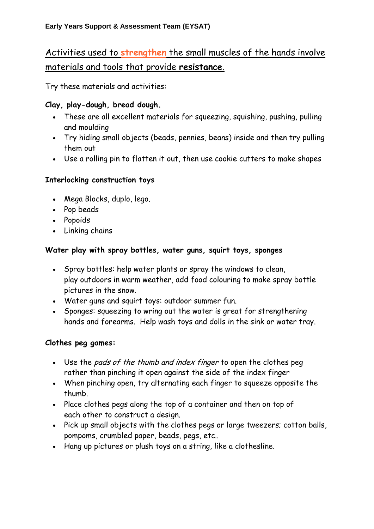# Activities used to **strengthen** the small muscles of the hands involve materials and tools that provide **resistance**.

Try these materials and activities:

# **Clay, play-dough, bread dough.**

- These are all excellent materials for squeezing, squishing, pushing, pulling and moulding
- Try hiding small objects (beads, pennies, beans) inside and then try pulling them out
- Use a rolling pin to flatten it out, then use cookie cutters to make shapes

## **Interlocking construction toys**

- Mega Blocks, duplo, lego.
- Pop beads
- Popoids
- Linking chains

## **Water play with spray bottles, water guns, squirt toys, sponges**

- Spray bottles: help water plants or spray the windows to clean, play outdoors in warm weather, add food colouring to make spray bottle pictures in the snow.
- Water guns and squirt toys: outdoor summer fun.
- Sponges: squeezing to wring out the water is great for strengthening hands and forearms. Help wash toys and dolls in the sink or water tray.

## **Clothes peg games:**

- Use the pads of the thumb and index finger to open the clothes peg rather than pinching it open against the side of the index finger
- When pinching open, try alternating each finger to squeeze opposite the thumb.
- Place clothes pegs along the top of a container and then on top of each other to construct a design.
- Pick up small objects with the clothes pegs or large tweezers; cotton balls, pompoms, crumbled paper, beads, pegs, etc..
- Hang up pictures or plush toys on a string, like a clothesline.